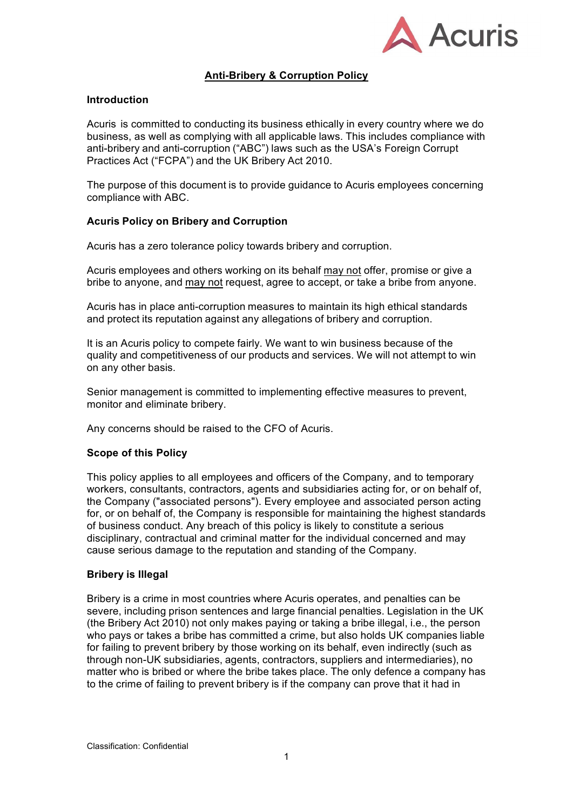

# **Anti-Bribery & Corruption Policy**

## **Introduction**

Acuris is committed to conducting its business ethically in every country where we do business, as well as complying with all applicable laws. This includes compliance with anti-bribery and anti-corruption ("ABC") laws such as the USA's Foreign Corrupt Practices Act ("FCPA") and the UK Bribery Act 2010.

The purpose of this document is to provide guidance to Acuris employees concerning compliance with ABC.

## **Acuris Policy on Bribery and Corruption**

Acuris has a zero tolerance policy towards bribery and corruption.

Acuris employees and others working on its behalf may not offer, promise or give a bribe to anyone, and may not request, agree to accept, or take a bribe from anyone.

Acuris has in place anti-corruption measures to maintain its high ethical standards and protect its reputation against any allegations of bribery and corruption.

It is an Acuris policy to compete fairly. We want to win business because of the quality and competitiveness of our products and services. We will not attempt to win on any other basis.

Senior management is committed to implementing effective measures to prevent, monitor and eliminate bribery.

Any concerns should be raised to the CFO of Acuris.

#### **Scope of this Policy**

This policy applies to all employees and officers of the Company, and to temporary workers, consultants, contractors, agents and subsidiaries acting for, or on behalf of, the Company ("associated persons"). Every employee and associated person acting for, or on behalf of, the Company is responsible for maintaining the highest standards of business conduct. Any breach of this policy is likely to constitute a serious disciplinary, contractual and criminal matter for the individual concerned and may cause serious damage to the reputation and standing of the Company.

#### **Bribery is Illegal**

Bribery is a crime in most countries where Acuris operates, and penalties can be severe, including prison sentences and large financial penalties. Legislation in the UK (the Bribery Act 2010) not only makes paying or taking a bribe illegal, i.e., the person who pays or takes a bribe has committed a crime, but also holds UK companies liable for failing to prevent bribery by those working on its behalf, even indirectly (such as through non-UK subsidiaries, agents, contractors, suppliers and intermediaries), no matter who is bribed or where the bribe takes place. The only defence a company has to the crime of failing to prevent bribery is if the company can prove that it had in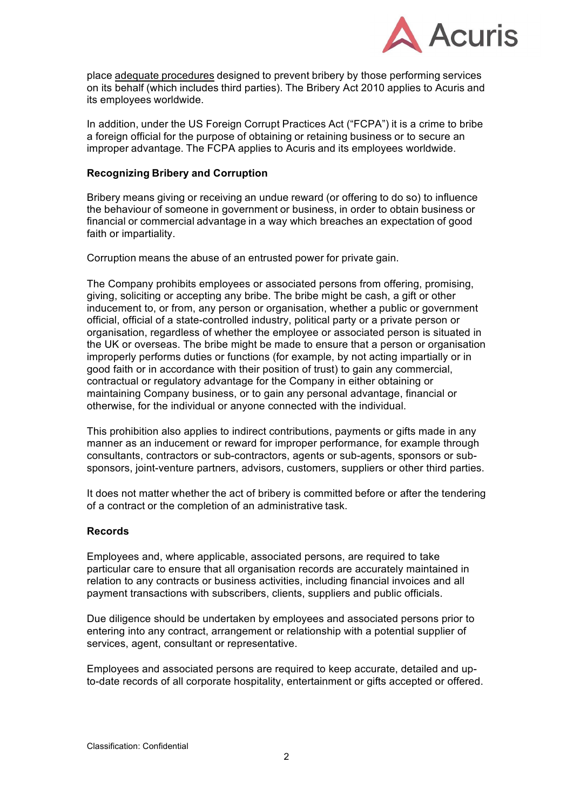

place adequate procedures designed to prevent bribery by those performing services on its behalf (which includes third parties). The Bribery Act 2010 applies to Acuris and its employees worldwide.

In addition, under the US Foreign Corrupt Practices Act ("FCPA") it is a crime to bribe a foreign official for the purpose of obtaining or retaining business or to secure an improper advantage. The FCPA applies to Acuris and its employees worldwide.

#### **Recognizing Bribery and Corruption**

Bribery means giving or receiving an undue reward (or offering to do so) to influence the behaviour of someone in government or business, in order to obtain business or financial or commercial advantage in a way which breaches an expectation of good faith or impartiality.

Corruption means the abuse of an entrusted power for private gain.

The Company prohibits employees or associated persons from offering, promising, giving, soliciting or accepting any bribe. The bribe might be cash, a gift or other inducement to, or from, any person or organisation, whether a public or government official, official of a state-controlled industry, political party or a private person or organisation, regardless of whether the employee or associated person is situated in the UK or overseas. The bribe might be made to ensure that a person or organisation improperly performs duties or functions (for example, by not acting impartially or in good faith or in accordance with their position of trust) to gain any commercial, contractual or regulatory advantage for the Company in either obtaining or maintaining Company business, or to gain any personal advantage, financial or otherwise, for the individual or anyone connected with the individual.

This prohibition also applies to indirect contributions, payments or gifts made in any manner as an inducement or reward for improper performance, for example through consultants, contractors or sub-contractors, agents or sub-agents, sponsors or subsponsors, joint-venture partners, advisors, customers, suppliers or other third parties.

It does not matter whether the act of bribery is committed before or after the tendering of a contract or the completion of an administrative task.

# **Records**

Employees and, where applicable, associated persons, are required to take particular care to ensure that all organisation records are accurately maintained in relation to any contracts or business activities, including financial invoices and all payment transactions with subscribers, clients, suppliers and public officials.

Due diligence should be undertaken by employees and associated persons prior to entering into any contract, arrangement or relationship with a potential supplier of services, agent, consultant or representative.

Employees and associated persons are required to keep accurate, detailed and upto-date records of all corporate hospitality, entertainment or gifts accepted or offered.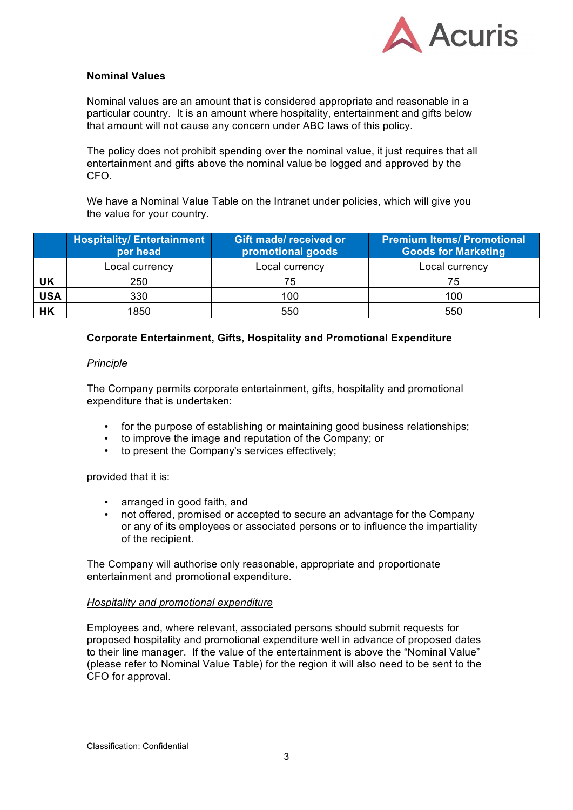

## **Nominal Values**

Nominal values are an amount that is considered appropriate and reasonable in a particular country. It is an amount where hospitality, entertainment and gifts below that amount will not cause any concern under ABC laws of this policy.

The policy does not prohibit spending over the nominal value, it just requires that all entertainment and gifts above the nominal value be logged and approved by the CFO.

We have a Nominal Value Table on the Intranet under policies, which will give you the value for your country.

|            | <b>Hospitality/Entertainment</b><br>per head | <b>Gift made/ received or</b><br>promotional goods | <b>Premium Items/ Promotional</b><br><b>Goods for Marketing</b> |
|------------|----------------------------------------------|----------------------------------------------------|-----------------------------------------------------------------|
|            | Local currency                               | Local currency                                     | Local currency                                                  |
| UK         | 250                                          | 75                                                 | 75                                                              |
| <b>USA</b> | 330                                          | 100                                                | 100                                                             |
| <b>HK</b>  | 1850                                         | 550                                                | 550                                                             |

## **Corporate Entertainment, Gifts, Hospitality and Promotional Expenditure**

#### *Principle*

The Company permits corporate entertainment, gifts, hospitality and promotional expenditure that is undertaken:

- for the purpose of establishing or maintaining good business relationships;
- to improve the image and reputation of the Company; or
- to present the Company's services effectively;

provided that it is:

- arranged in good faith, and
- not offered, promised or accepted to secure an advantage for the Company or any of its employees or associated persons or to influence the impartiality of the recipient.

The Company will authorise only reasonable, appropriate and proportionate entertainment and promotional expenditure.

#### *Hospitality and promotional expenditure*

Employees and, where relevant, associated persons should submit requests for proposed hospitality and promotional expenditure well in advance of proposed dates to their line manager. If the value of the entertainment is above the "Nominal Value" (please refer to Nominal Value Table) for the region it will also need to be sent to the CFO for approval.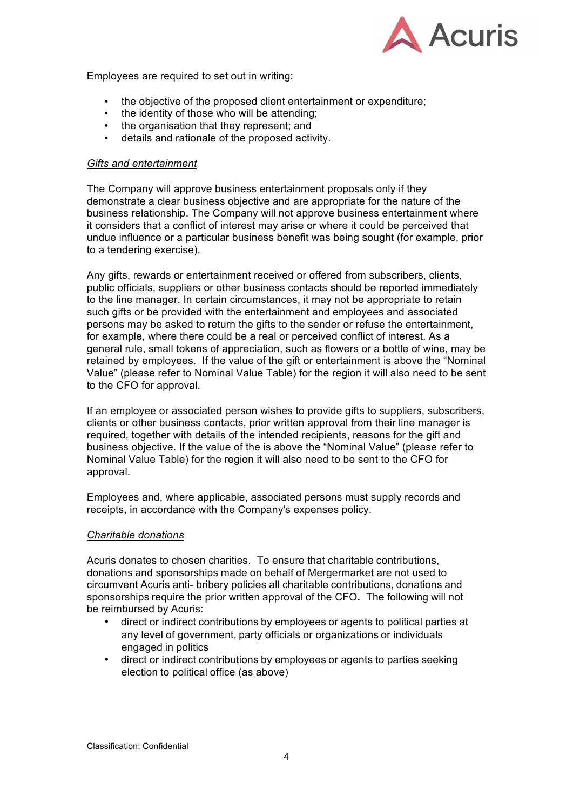

Employees are required to set out in writing:

- the objective of the proposed client entertainment or expenditure;<br>• the identity of those who will be attending:
- the identity of those who will be attending:
- the organisation that they represent; and
- details and rationale of the proposed activity.

### *Gifts and entertainment*

The Company will approve business entertainment proposals only if they demonstrate a clear business objective and are appropriate for the nature of the business relationship. The Company will not approve business entertainment where it considers that a conflict of interest may arise or where it could be perceived that undue influence or a particular business benefit was being sought (for example, prior to a tendering exercise).

Any gifts, rewards or entertainment received or offered from subscribers, clients, public officials, suppliers or other business contacts should be reported immediately to the line manager. In certain circumstances, it may not be appropriate to retain such gifts or be provided with the entertainment and employees and associated persons may be asked to return the gifts to the sender or refuse the entertainment, for example, where there could be a real or perceived conflict of interest. As a general rule, small tokens of appreciation, such as flowers or a bottle of wine, may be retained by employees. If the value of the gift or entertainment is above the "Nominal Value" (please refer to Nominal Value Table) for the region it will also need to be sent to the CFO for approval.

If an employee or associated person wishes to provide gifts to suppliers, subscribers, clients or other business contacts, prior written approval from their line manager is required, together with details of the intended recipients, reasons for the gift and business objective. If the value of the is above the "Nominal Value" (please refer to Nominal Value Table) for the region it will also need to be sent to the CFO for approval.

Employees and, where applicable, associated persons must supply records and receipts, in accordance with the Company's expenses policy.

#### *Charitable donations*

Acuris donates to chosen charities. To ensure that charitable contributions, donations and sponsorships made on behalf of Mergermarket are not used to circumvent Acuris anti- bribery policies all charitable contributions, donations and sponsorships require the prior written approval of the CFO**.** The following will not be reimbursed by Acuris:

- direct or indirect contributions by employees or agents to political parties at any level of government, party officials or organizations or individuals engaged in politics
- direct or indirect contributions by employees or agents to parties seeking election to political office (as above)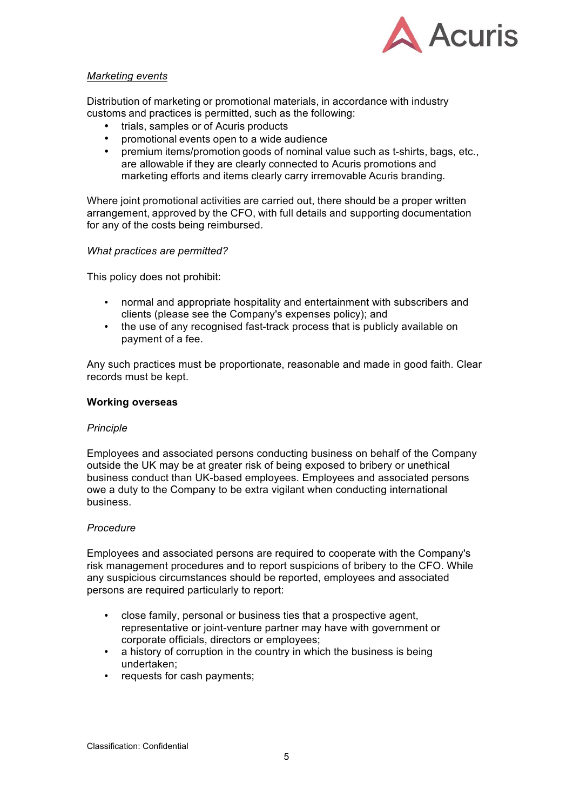

### *Marketing events*

Distribution of marketing or promotional materials, in accordance with industry customs and practices is permitted, such as the following:

- trials, samples or of Acuris products
- promotional events open to a wide audience
- premium items/promotion goods of nominal value such as t-shirts, bags, etc., are allowable if they are clearly connected to Acuris promotions and marketing efforts and items clearly carry irremovable Acuris branding.

Where joint promotional activities are carried out, there should be a proper written arrangement, approved by the CFO, with full details and supporting documentation for any of the costs being reimbursed.

#### *What practices are permitted?*

This policy does not prohibit:

- normal and appropriate hospitality and entertainment with subscribers and clients (please see the Company's expenses policy); and
- the use of any recognised fast-track process that is publicly available on payment of a fee.

Any such practices must be proportionate, reasonable and made in good faith. Clear records must be kept.

#### **Working overseas**

#### *Principle*

Employees and associated persons conducting business on behalf of the Company outside the UK may be at greater risk of being exposed to bribery or unethical business conduct than UK-based employees. Employees and associated persons owe a duty to the Company to be extra vigilant when conducting international business.

#### *Procedure*

Employees and associated persons are required to cooperate with the Company's risk management procedures and to report suspicions of bribery to the CFO. While any suspicious circumstances should be reported, employees and associated persons are required particularly to report:

- close family, personal or business ties that a prospective agent, representative or joint-venture partner may have with government or corporate officials, directors or employees;
- a history of corruption in the country in which the business is being undertaken;
- requests for cash payments;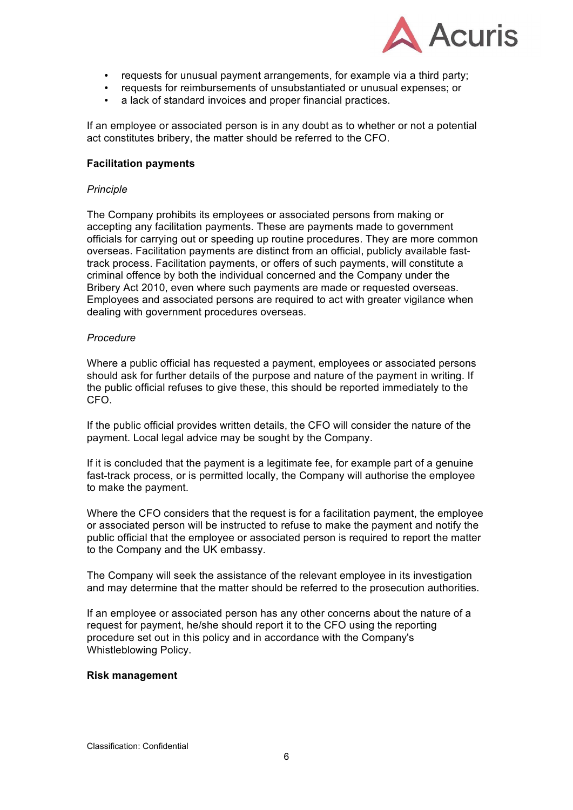

- requests for unusual payment arrangements, for example via a third party;
- requests for reimbursements of unsubstantiated or unusual expenses; or
- a lack of standard invoices and proper financial practices.

If an employee or associated person is in any doubt as to whether or not a potential act constitutes bribery, the matter should be referred to the CFO.

### **Facilitation payments**

#### *Principle*

The Company prohibits its employees or associated persons from making or accepting any facilitation payments. These are payments made to government officials for carrying out or speeding up routine procedures. They are more common overseas. Facilitation payments are distinct from an official, publicly available fasttrack process. Facilitation payments, or offers of such payments, will constitute a criminal offence by both the individual concerned and the Company under the Bribery Act 2010, even where such payments are made or requested overseas. Employees and associated persons are required to act with greater vigilance when dealing with government procedures overseas.

#### *Procedure*

Where a public official has requested a payment, employees or associated persons should ask for further details of the purpose and nature of the payment in writing. If the public official refuses to give these, this should be reported immediately to the CFO.

If the public official provides written details, the CFO will consider the nature of the payment. Local legal advice may be sought by the Company.

If it is concluded that the payment is a legitimate fee, for example part of a genuine fast-track process, or is permitted locally, the Company will authorise the employee to make the payment.

Where the CFO considers that the request is for a facilitation payment, the employee or associated person will be instructed to refuse to make the payment and notify the public official that the employee or associated person is required to report the matter to the Company and the UK embassy.

The Company will seek the assistance of the relevant employee in its investigation and may determine that the matter should be referred to the prosecution authorities.

If an employee or associated person has any other concerns about the nature of a request for payment, he/she should report it to the CFO using the reporting procedure set out in this policy and in accordance with the Company's Whistleblowing Policy.

#### **Risk management**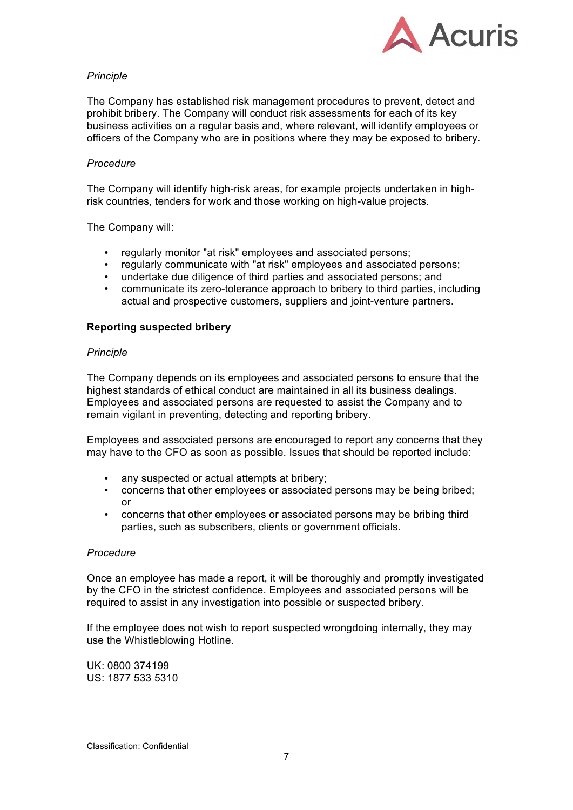

## *Principle*

The Company has established risk management procedures to prevent, detect and prohibit bribery. The Company will conduct risk assessments for each of its key business activities on a regular basis and, where relevant, will identify employees or officers of the Company who are in positions where they may be exposed to bribery.

### *Procedure*

The Company will identify high-risk areas, for example projects undertaken in highrisk countries, tenders for work and those working on high-value projects.

The Company will:

- regularly monitor "at risk" employees and associated persons;
- 
- regularly communicate with "at risk" employees and associated persons;<br>• undertake due diligence of third parties and associated persons; and • undertake due diligence of third parties and associated persons; and
- communicate its zero-tolerance approach to bribery to third parties, including actual and prospective customers, suppliers and joint-venture partners.

#### **Reporting suspected bribery**

#### *Principle*

The Company depends on its employees and associated persons to ensure that the highest standards of ethical conduct are maintained in all its business dealings. Employees and associated persons are requested to assist the Company and to remain vigilant in preventing, detecting and reporting bribery.

Employees and associated persons are encouraged to report any concerns that they may have to the CFO as soon as possible. Issues that should be reported include:

- any suspected or actual attempts at bribery;
- concerns that other employees or associated persons may be being bribed; or
- concerns that other employees or associated persons may be bribing third parties, such as subscribers, clients or government officials.

#### *Procedure*

Once an employee has made a report, it will be thoroughly and promptly investigated by the CFO in the strictest confidence. Employees and associated persons will be required to assist in any investigation into possible or suspected bribery.

If the employee does not wish to report suspected wrongdoing internally, they may use the Whistleblowing Hotline.

UK: 0800 374199 US: 1877 533 5310